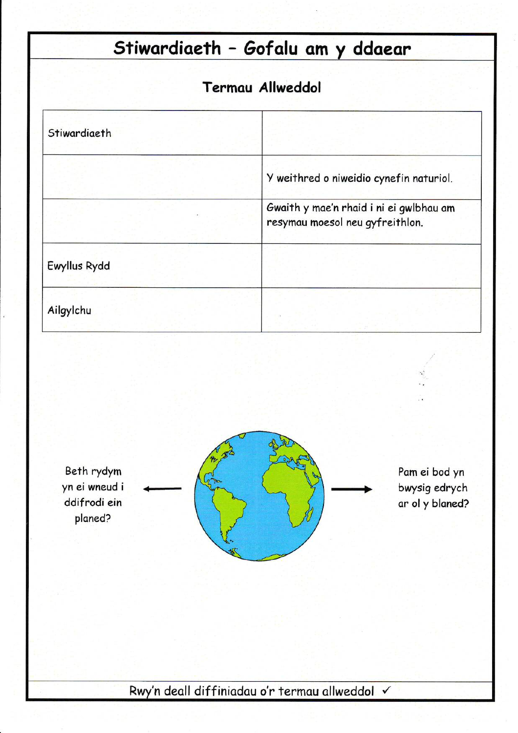# Stiwardiaeth - Gofalu am y ddaear

## **Termau Allweddol**

| Stiwardiaeth |                                                                            |
|--------------|----------------------------------------------------------------------------|
|              | Y weithred o niweidio cynefin naturiol.                                    |
|              | Gwaith y mae'n rhaid i ni ei gwlbhau am<br>resymau moesol neu gyfreithlon. |
| Ewyllus Rydd |                                                                            |
| Ailgylchu    |                                                                            |

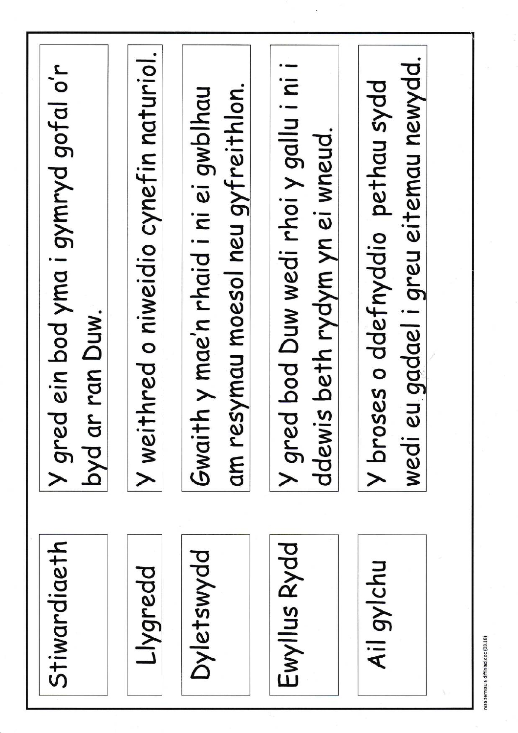| wedi eu gadael i greu eitemau newydd.<br>Y broses o ddefnyddio pethau sydd<br>am resymau moesol neu gyfreithlon.<br>Gwaith y mae'n rhaid i ni ei gwblhau<br>ddewis beth rydym yn ei wneud.<br>byd ar ran Duw.<br>Ewyllus Rydd<br>Dyletswydd<br>Ail gylchu<br>Llygredd | Y gred bod Duw wedi rhoi y gallu i ni i |  | <b>Y</b> weithred o niweidio cynefin naturiol. | Y gred ein bod yma i gymryd gofal o'r<br>Stiwardiaeth |  |
|-----------------------------------------------------------------------------------------------------------------------------------------------------------------------------------------------------------------------------------------------------------------------|-----------------------------------------|--|------------------------------------------------|-------------------------------------------------------|--|
|-----------------------------------------------------------------------------------------------------------------------------------------------------------------------------------------------------------------------------------------------------------------------|-----------------------------------------|--|------------------------------------------------|-------------------------------------------------------|--|

maa:termau a diffiniad.doc (03.18)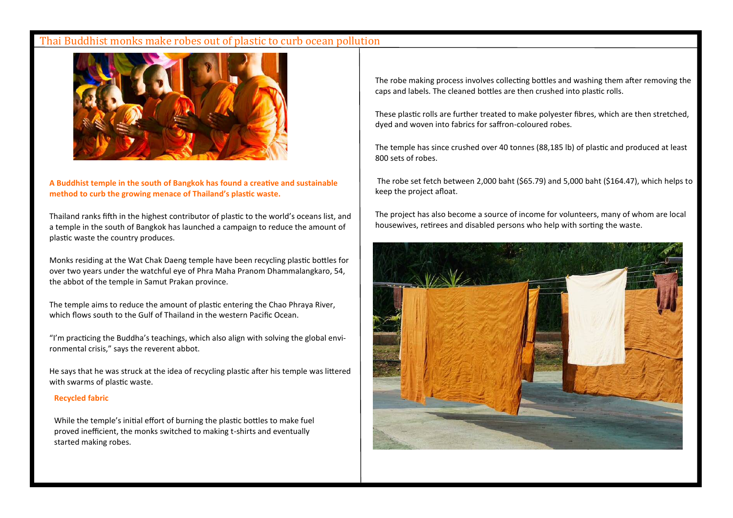### Thai Buddhist monks make robes out of plastic to curb ocean pollution



A Buddhist temple in the south of Bangkok has found a creative and sustainable method to curb the growing menace of Thailand's plastic waste.

Thailand ranks fifth in the highest contributor of plastic to the world's oceans list, and a temple in the south of Bangkok has launched a campaign to reduce the amount of plastic waste the country produces.

Monks residing at the Wat Chak Daeng temple have been recycling plastic bottles for over two years under the watchful eye of Phra Maha Pranom Dhammalangkaro, 54, the abbot of the temple in Samut Prakan province.

The temple aims to reduce the amount of plastic entering the Chao Phraya River, which flows south to the Gulf of Thailand in the western Pacific Ocean.

"I'm practicing the Buddha's teachings, which also align with solving the global environmental crisis," says the reverent abbot.

He says that he was struck at the idea of recycling plastic after his temple was littered with swarms of plastic waste.

#### **Recycled fabric**

While the temple's initial effort of burning the plastic bottles to make fuel proved inefficient, the monks switched to making t-shirts and eventually started making robes.

The robe making process involves collecting bottles and washing them after removing the caps and labels. The cleaned bottles are then crushed into plastic rolls.

These plastic rolls are further treated to make polyester fibres, which are then stretched, dyed and woven into fabrics for saffron-coloured robes.

The temple has since crushed over 40 tonnes (88.185 lb) of plastic and produced at least 800 sets of robes.

The robe set fetch between 2,000 baht (\$65.79) and 5,000 baht (\$164.47), which helps to keep the project afloat.

The project has also become a source of income for volunteers, many of whom are local housewives, retirees and disabled persons who help with sorting the waste.

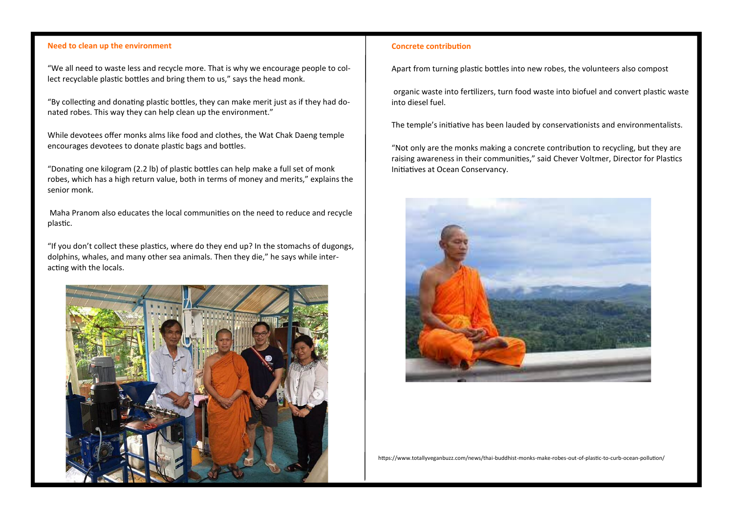#### **Need to clean up the environment**

"We all need to waste less and recycle more. That is why we encourage people to collect recyclable plastic bottles and bring them to us," says the head monk.

"By collecting and donating plastic bottles, they can make merit just as if they had donated robes. This way they can help clean up the environment."

While devotees offer monks alms like food and clothes, the Wat Chak Daeng temple encourages devotees to donate plastic bags and bottles.

"Donating one kilogram (2.2 lb) of plastic bottles can help make a full set of monk robes, which has a high return value, both in terms of money and merits," explains the senior monk.

Maha Pranom also educates the local communities on the need to reduce and recycle plastic.

"If you don't collect these plastics, where do they end up? In the stomachs of dugongs, dolphins, whales, and many other sea animals. Then they die," he says while interacting with the locals.



#### **Concrete contribution**

Apart from turning plastic bottles into new robes, the volunteers also compost

organic waste into fertilizers, turn food waste into biofuel and convert plastic waste into diesel fuel.

The temple's initiative has been lauded by conservationists and environmentalists.

"Not only are the monks making a concrete contribution to recycling, but they are raising awareness in their communities," said Chever Voltmer, Director for Plastics Initiatives at Ocean Conservancy.



https://www.totallyveganbuzz.com/news/thai-buddhist-monks-make-robes-out-of-plastic-to-curb-ocean-pollution/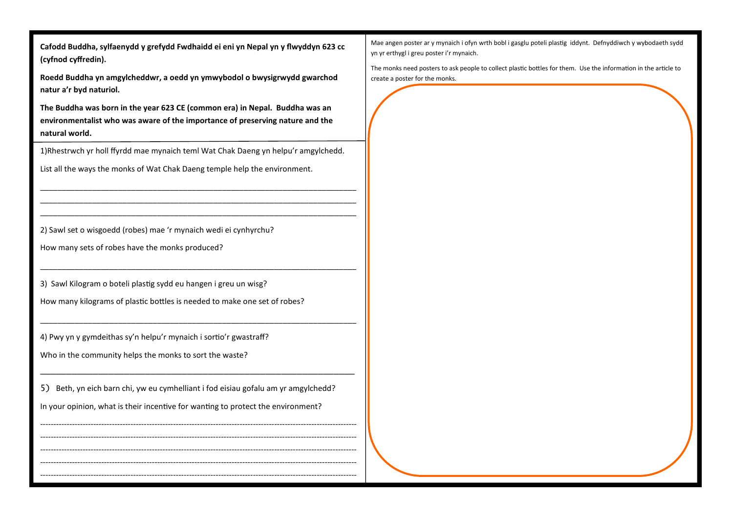Cafodd Buddha, sylfaenydd y grefydd Fwdhaidd ei eni yn Nepal yn y flwyddyn 623 cc **(cyfnod cyīredin).**

**Roedd Buddha yn amgylcheddwr, a oedd yn ymwybodol o bwysigrwydd gwarchod natur a'r byd naturiol.**

**The Buddha was born in the year 623 CE (common era) in Nepal. Buddha was an environmentalist who was aware of the importance of preserving nature and the natural world.**

1)Rhestrwch yr holl ffyrdd mae mynaich teml Wat Chak Daeng yn helpu'r amgylchedd.

\_\_\_\_\_\_\_\_\_\_\_\_\_\_\_\_\_\_\_\_\_\_\_\_\_\_\_\_\_\_\_\_\_\_\_\_\_\_\_\_\_\_\_\_\_\_\_\_\_\_\_\_\_\_\_\_\_\_\_\_\_\_\_\_\_\_\_\_\_\_\_\_\_ \_\_\_\_\_\_\_\_\_\_\_\_\_\_\_\_\_\_\_\_\_\_\_\_\_\_\_\_\_\_\_\_\_\_\_\_\_\_\_\_\_\_\_\_\_\_\_\_\_\_\_\_\_\_\_\_\_\_\_\_\_\_\_\_\_\_\_\_\_\_\_\_\_ \_\_\_\_\_\_\_\_\_\_\_\_\_\_\_\_\_\_\_\_\_\_\_\_\_\_\_\_\_\_\_\_\_\_\_\_\_\_\_\_\_\_\_\_\_\_\_\_\_\_\_\_\_\_\_\_\_\_\_\_\_\_\_\_\_\_\_\_\_\_\_\_\_

\_\_\_\_\_\_\_\_\_\_\_\_\_\_\_\_\_\_\_\_\_\_\_\_\_\_\_\_\_\_\_\_\_\_\_\_\_\_\_\_\_\_\_\_\_\_\_\_\_\_\_\_\_\_\_\_\_\_\_\_\_\_\_\_\_\_\_\_\_\_\_\_\_

\_\_\_\_\_\_\_\_\_\_\_\_\_\_\_\_\_\_\_\_\_\_\_\_\_\_\_\_\_\_\_\_\_\_\_\_\_\_\_\_\_\_\_\_\_\_\_\_\_\_\_\_\_\_\_\_\_\_\_\_\_\_\_\_\_\_\_\_\_\_\_\_\_

\_\_\_\_\_\_\_\_\_\_\_\_\_\_\_\_\_\_\_\_\_\_\_\_\_\_\_\_\_\_\_\_\_\_\_\_\_\_\_\_\_\_\_\_\_\_\_\_\_\_\_\_\_\_\_\_\_\_\_\_

----------------------------------------------------------------------------------------------------------------------- ----------------------------------------------------------------------------------------------------------------------- ----------------------------------------------------------------------------------------------------------------------- ----------------------------------------------------------------------------------------------------------------------- -----------------------------------------------------------------------------------------------------------------------

List all the ways the monks of Wat Chak Daeng temple help the environment.

2) Sawl set o wisgoedd (robes) mae 'r mynaich wedi ei cynhyrchu?

How many sets of robes have the monks produced?

3) Sawl Kilogram o boteli plastig sydd eu hangen i greu un wisg?

How many kilograms of plastic bottles is needed to make one set of robes?

4) Pwy yn y gymdeithas sy'n helpu'r mynaich i sortio'r gwastraff?

Who in the community helps the monks to sort the waste?

5) Beth, yn eich barn chi, yw eu cymhelliant i fod eisiau gofalu am yr amgylchedd? In your opinion, what is their incentive for wanting to protect the environment?

Mae angen poster ar y mynaich i ofyn wrth bobl i gasglu poteli plastig iddynt. Defnyddiwch y wybodaeth sydd yn yr erthygl i greu poster i'r mynaich.

The monks need posters to ask people to collect plastic bottles for them. Use the information in the article to create a poster for the monks.